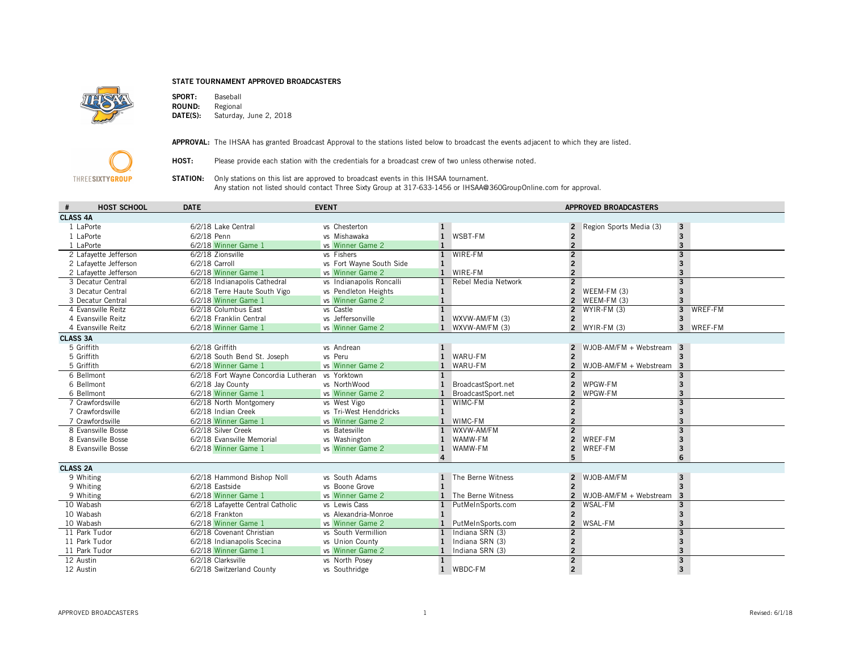## STATE TOURNAMENT APPROVED BROADCASTERS



**SPORT:** Baseball<br>**ROUND:** Regional ROUND:<br>DATE(S): Saturday, June 2, 2018



APPROVAL: The IHSAA has granted Broadcast Approval to the stations listed below to broadcast the events adjacent to which they are listed.

HOST: Please provide each station with the credentials for a broadcast crew of two unless otherwise noted.

**STATION:** Only stations on this list are approved to broadcast events in this IHSAA tournament. Any station not listed should contact Three Sixty Group at 317-633-1456 or IHSAA@360GroupOnline.com for approval.

|                 | <b>HOST SCHOOL</b>    | <b>DATE</b>                                      | <b>EVENT</b>             | <b>APPROVED BROADCASTERS</b> |                     |                          |                            |                         |           |
|-----------------|-----------------------|--------------------------------------------------|--------------------------|------------------------------|---------------------|--------------------------|----------------------------|-------------------------|-----------|
| <b>CLASS 4A</b> |                       |                                                  |                          |                              |                     |                          |                            |                         |           |
|                 | 1 LaPorte             | 6/2/18 Lake Central                              | vs Chesterton            | 1                            |                     |                          | Region Sports Media (3)    | $\overline{\mathbf{3}}$ |           |
|                 | 1 LaPorte             | 6/2/18 Penn                                      | vs Mishawaka             | $\mathbf{1}$                 | WSBT-FM             |                          |                            | $\overline{\mathbf{3}}$ |           |
|                 | 1 LaPorte             | 6/2/18 Winner Game 1                             | vs Winner Game 2         |                              |                     |                          |                            | $\overline{\mathbf{3}}$ |           |
|                 | 2 Lafayette Jefferson | 6/2/18 Zionsville                                | vs Fishers               | $\mathbf{1}$                 | WIRE-FM             | $\overline{2}$           |                            | $\overline{3}$          |           |
|                 | 2 Lafayette Jefferson | 6/2/18 Carroll                                   | vs Fort Wayne South Side | $\mathbf{1}$                 |                     | $\overline{\phantom{a}}$ |                            | $\overline{\mathbf{3}}$ |           |
|                 | 2 Lafayette Jefferson | 6/2/18 Winner Game 1                             | vs Winner Game 2         |                              | WIRE-FM             |                          |                            | $\overline{\mathbf{3}}$ |           |
|                 | 3 Decatur Central     | 6/2/18 Indianapolis Cathedral                    | vs Indianapolis Roncalli | $\mathbf{1}$                 | Rebel Media Network | $\overline{2}$           |                            | $\overline{3}$          |           |
|                 | 3 Decatur Central     | 6/2/18 Terre Haute South Vigo                    | vs Pendleton Heights     |                              |                     | $\overline{\phantom{a}}$ | WEEM-FM (3)                | $\overline{\mathbf{3}}$ |           |
|                 | 3 Decatur Central     | 6/2/18 Winner Game 1                             | vs Winner Game 2         |                              |                     | $\overline{2}$           | WEEM-FM (3)                | $\overline{\mathbf{3}}$ |           |
|                 | 4 Evansville Reitz    | 6/2/18 Columbus East                             | vs Castle                |                              |                     | $\overline{2}$           | $WYIR-FM(3)$               | $\overline{3}$          | WREF-FM   |
|                 | 4 Evansville Reitz    | 6/2/18 Franklin Central                          | vs Jeffersonville        |                              | WXVW-AM/FM (3)      | $\overline{\phantom{a}}$ |                            | $\overline{\mathbf{3}}$ |           |
|                 | 4 Evansville Reitz    | 6/2/18 Winner Game 1                             | vs Winner Game 2         |                              | WXVW-AM/FM (3)      |                          | 2 $WYIR-FM(3)$             |                         | 3 WREF-FM |
| <b>CLASS 3A</b> |                       |                                                  |                          |                              |                     |                          |                            |                         |           |
|                 | 5 Griffith            | 6/2/18 Griffith                                  | vs Andrean               |                              |                     |                          | $WJOB-AM/FM + Webstream$ 3 |                         |           |
|                 | 5 Griffith            | 6/2/18 South Bend St. Joseph                     | vs Peru                  | $\mathbf{1}$                 | WARU-FM             | $\overline{\phantom{a}}$ |                            |                         |           |
|                 | 5 Griffith            | 6/2/18 Winner Game 1                             | vs Winner Game 2         |                              | WARU-FM             |                          | $WJOB-AM/FM + Webstream$ 3 |                         |           |
|                 | 6 Bellmont            | 6/2/18 Fort Wayne Concordia Lutheran vs Yorktown |                          | $\mathbf{1}$                 |                     | 2                        |                            | 3                       |           |
|                 | 6 Bellmont            | 6/2/18 Jay County                                | vs NorthWood             |                              | BroadcastSport.net  | $\overline{\phantom{a}}$ | WPGW-FM                    | $\overline{\mathbf{3}}$ |           |
|                 | 6 Bellmont            | 6/2/18 Winner Game 1                             | vs Winner Game 2         |                              | BroadcastSport.net  | $\overline{2}$           | WPGW-FM                    | $\mathbf{3}$            |           |
|                 | 7 Crawfordsville      | 6/2/18 North Montgomery                          | vs West Vigo             | $\mathbf{1}$                 | WIMC-FM             | $\overline{\phantom{a}}$ |                            | $\overline{3}$          |           |
|                 | 7 Crawfordsville      | 6/2/18 Indian Creek                              | vs Tri-West Henddricks   | $\mathbf{1}$                 |                     | $\overline{2}$           |                            | $\mathbf{3}$            |           |
|                 | 7 Crawfordsville      | 6/2/18 Winner Game 1                             | vs Winner Game 2         |                              | WIMC-FM             | $\overline{2}$           |                            | $\overline{\mathbf{3}}$ |           |
|                 | 8 Evansville Bosse    | 6/2/18 Silver Creek                              | vs Batesville            | $\mathbf{1}$                 | WXVW-AM/FM          | $\overline{2}$           |                            | $\overline{3}$          |           |
|                 | 8 Evansville Bosse    | 6/2/18 Evansville Memorial                       | vs Washington            |                              | WAMW-FM             | $\overline{\phantom{a}}$ | WREF-FM                    | $\overline{\mathbf{3}}$ |           |
|                 | 8 Evansville Bosse    | 6/2/18 Winner Game 1                             | vs Winner Game 2         | $\mathbf{1}$                 | WAMW-FM             | $\overline{2}$           | WREF-FM                    | $\mathbf{3}$            |           |
|                 |                       |                                                  |                          | $\Delta$                     |                     | 5                        |                            | 6                       |           |
| <b>CLASS 2A</b> |                       |                                                  |                          |                              |                     |                          |                            |                         |           |
|                 | 9 Whiting             | 6/2/18 Hammond Bishop Noll                       | vs South Adams           | 1                            | The Berne Witness   |                          | 2 WJOB-AM/FM               | $\overline{\mathbf{3}}$ |           |
|                 | 9 Whiting             | 6/2/18 Eastside                                  | vs Boone Grove           |                              |                     | $\overline{\phantom{a}}$ |                            | $\overline{3}$          |           |
|                 | 9 Whiting             | 6/2/18 Winner Game 1                             | vs Winner Game 2         |                              | The Berne Witness   | $\overline{2}$           | WJOB-AM/FM + Webstream     | $\overline{\mathbf{3}}$ |           |
|                 | 10 Wabash             | 6/2/18 Lafayette Central Catholic                | vs Lewis Cass            |                              | PutMeInSports.com   | $\overline{2}$           | WSAL-FM                    | $\overline{\mathbf{3}}$ |           |
|                 | 10 Wabash             | 6/2/18 Frankton                                  | vs Alexandria-Monroe     |                              |                     |                          |                            | $\overline{\mathbf{3}}$ |           |
|                 | 10 Wabash             | 6/2/18 Winner Game 1                             | vs Winner Game 2         |                              | PutMeInSports.com   | $\overline{2}$           | WSAL-FM                    | $\overline{\mathbf{3}}$ |           |
|                 | 11 Park Tudor         | 6/2/18 Covenant Christian                        | vs South Vermillion      | $\mathbf{1}$                 | Indiana SRN (3)     |                          |                            | $\overline{3}$          |           |
|                 | 11 Park Tudor         | 6/2/18 Indianapolis Scecina                      | vs Union County          |                              | Indiana SRN (3)     | $\overline{2}$           |                            | $\overline{\mathbf{3}}$ |           |
|                 | 11 Park Tudor         | 6/2/18 Winner Game 1                             | vs Winner Game 2         |                              | Indiana SRN (3)     |                          |                            | $\overline{\mathbf{3}}$ |           |
|                 | 12 Austin             | 6/2/18 Clarksville                               | vs North Posey           | 1                            |                     | $\overline{2}$           |                            | $\overline{\mathbf{3}}$ |           |
|                 | 12 Austin             | 6/2/18 Switzerland County                        | vs Southridge            | $\mathbf{1}$                 | WBDC-FM             | $\overline{\phantom{a}}$ |                            | $\overline{\mathbf{3}}$ |           |